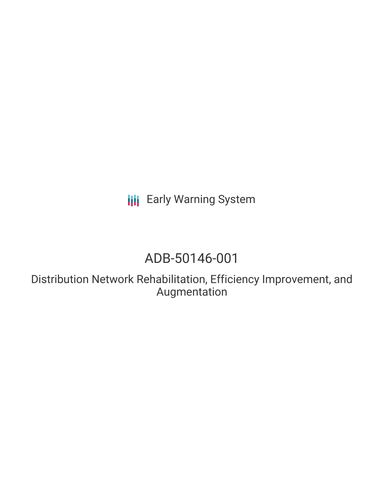**III** Early Warning System

# ADB-50146-001

Distribution Network Rehabilitation, Efficiency Improvement, and Augmentation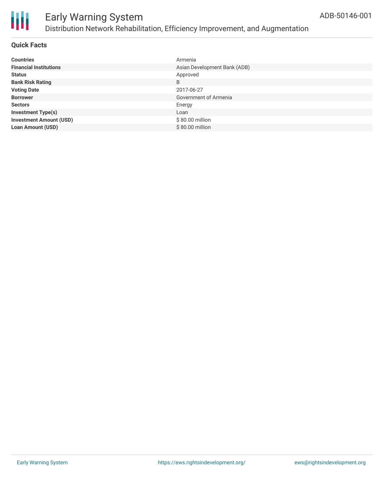

#### **Quick Facts**

| <b>Countries</b>               | Armenia                      |
|--------------------------------|------------------------------|
| <b>Financial Institutions</b>  | Asian Development Bank (ADB) |
| <b>Status</b>                  | Approved                     |
| <b>Bank Risk Rating</b>        | B                            |
| <b>Voting Date</b>             | 2017-06-27                   |
| <b>Borrower</b>                | Government of Armenia        |
| <b>Sectors</b>                 | Energy                       |
| <b>Investment Type(s)</b>      | Loan                         |
| <b>Investment Amount (USD)</b> | \$80.00 million              |
| <b>Loan Amount (USD)</b>       | \$80.00 million              |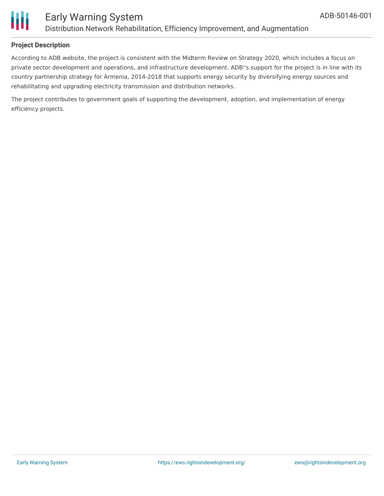

#### **Project Description**

According to ADB website, the project is consistent with the Midterm Review on Strategy 2020, which includes a focus on private sector development and operations, and infrastructure development. ADB''s support for the project is in line with its country partnership strategy for Armenia, 2014-2018 that supports energy security by diversifying energy sources and rehabilitating and upgrading electricity transmission and distribution networks.

The project contributes to government goals of supporting the development, adoption, and implementation of energy efficiency projects.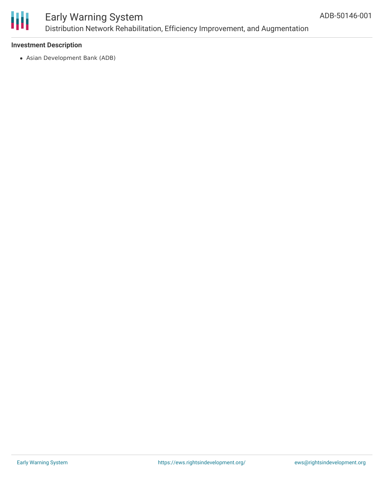

#### **Investment Description**

Asian Development Bank (ADB)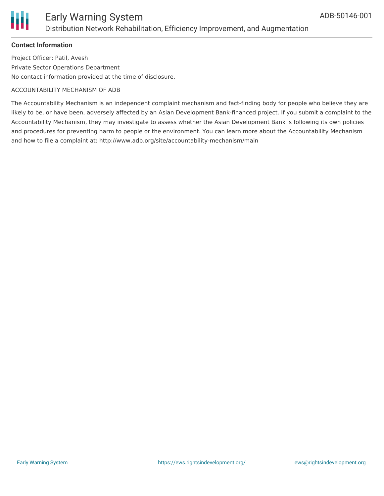

#### **Contact Information**

Project Officer: Patil, Avesh Private Sector Operations Department No contact information provided at the time of disclosure.

#### ACCOUNTABILITY MECHANISM OF ADB

The Accountability Mechanism is an independent complaint mechanism and fact-finding body for people who believe they are likely to be, or have been, adversely affected by an Asian Development Bank-financed project. If you submit a complaint to the Accountability Mechanism, they may investigate to assess whether the Asian Development Bank is following its own policies and procedures for preventing harm to people or the environment. You can learn more about the Accountability Mechanism and how to file a complaint at: http://www.adb.org/site/accountability-mechanism/main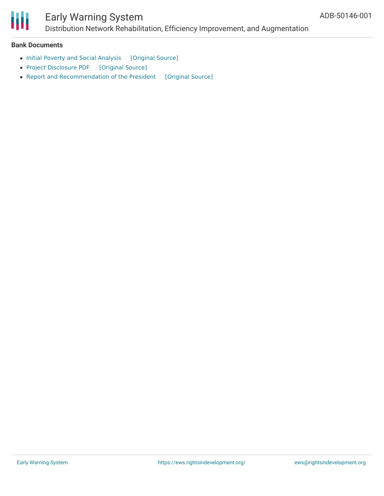

## Early Warning System

Distribution Network Rehabilitation, Efficiency Improvement, and Augmentation

#### **Bank Documents**

- Initial Poverty and Social [Analysis](https://ewsdata.rightsindevelopment.org/files/documents/01/ADB-50146-001_Eb2FLN1.pdf) [\[Original](https://www.adb.org/projects/documents/arm-50146-001-ipsa) Source]
- Project [Disclosure](https://ewsdata.rightsindevelopment.org/files/documents/01/ADB-50146-001.pdf) PDF [\[Original](https://www.adb.org/printpdf/projects/50146-001/main) Source]
- Report and [Recommendation](https://ewsdata.rightsindevelopment.org/files/documents/01/ADB-50146-001_FAY5sqP.pdf) of the President [\[Original](https://www.adb.org/projects/documents/arm-50146-001-rrp) Source]